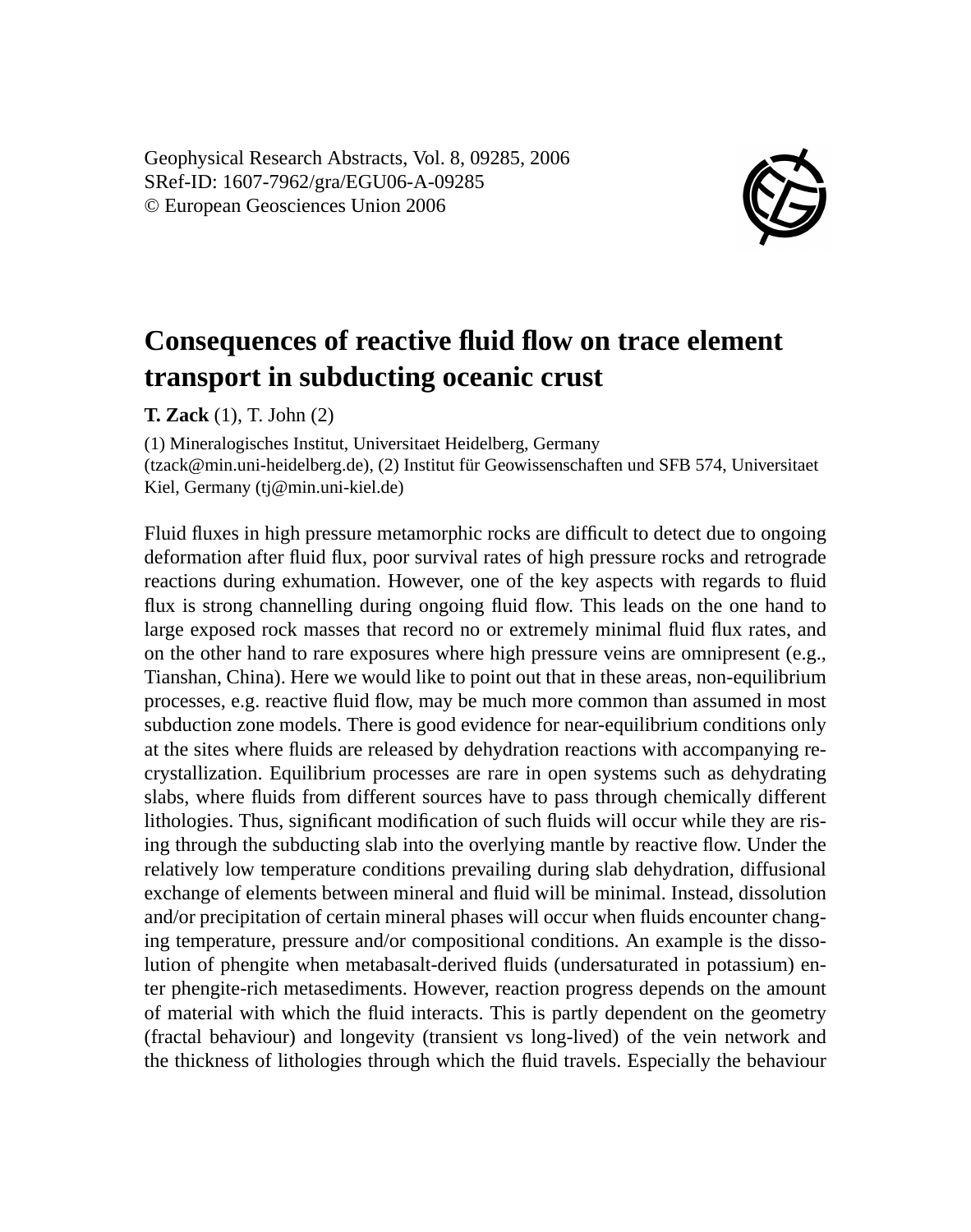Geophysical Research Abstracts, Vol. 8, 09285, 2006 SRef-ID: 1607-7962/gra/EGU06-A-09285 © European Geosciences Union 2006



## **Consequences of reactive fluid flow on trace element transport in subducting oceanic crust**

**T. Zack** (1), T. John (2)

(1) Mineralogisches Institut, Universitaet Heidelberg, Germany (tzack@min.uni-heidelberg.de), (2) Institut für Geowissenschaften und SFB 574, Universitaet Kiel, Germany (tj@min.uni-kiel.de)

Fluid fluxes in high pressure metamorphic rocks are difficult to detect due to ongoing deformation after fluid flux, poor survival rates of high pressure rocks and retrograde reactions during exhumation. However, one of the key aspects with regards to fluid flux is strong channelling during ongoing fluid flow. This leads on the one hand to large exposed rock masses that record no or extremely minimal fluid flux rates, and on the other hand to rare exposures where high pressure veins are omnipresent (e.g., Tianshan, China). Here we would like to point out that in these areas, non-equilibrium processes, e.g. reactive fluid flow, may be much more common than assumed in most subduction zone models. There is good evidence for near-equilibrium conditions only at the sites where fluids are released by dehydration reactions with accompanying recrystallization. Equilibrium processes are rare in open systems such as dehydrating slabs, where fluids from different sources have to pass through chemically different lithologies. Thus, significant modification of such fluids will occur while they are rising through the subducting slab into the overlying mantle by reactive flow. Under the relatively low temperature conditions prevailing during slab dehydration, diffusional exchange of elements between mineral and fluid will be minimal. Instead, dissolution and/or precipitation of certain mineral phases will occur when fluids encounter changing temperature, pressure and/or compositional conditions. An example is the dissolution of phengite when metabasalt-derived fluids (undersaturated in potassium) enter phengite-rich metasediments. However, reaction progress depends on the amount of material with which the fluid interacts. This is partly dependent on the geometry (fractal behaviour) and longevity (transient vs long-lived) of the vein network and the thickness of lithologies through which the fluid travels. Especially the behaviour